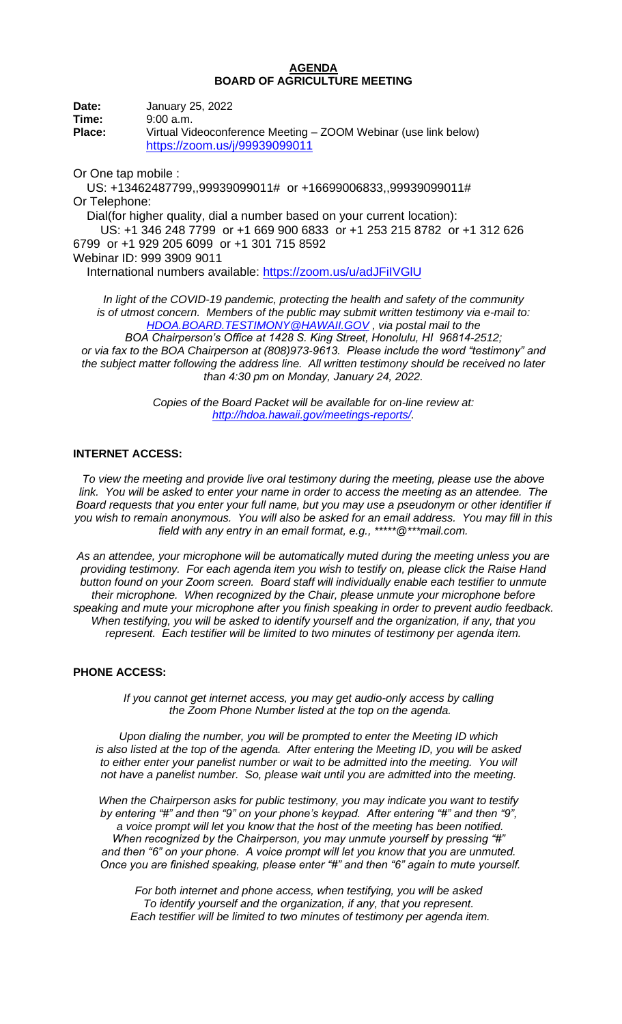#### **AGENDA BOARD OF AGRICULTURE MEETING**

**Date:** January 25, 2022

**Time:** 9:00 a.m.

Place: Virtual Videoconference Meeting – ZOOM Webinar (use link below) <https://zoom.us/j/99939099011>

Or One tap mobile :

 US: +13462487799,,99939099011# or +16699006833,,99939099011# Or Telephone:

 Dial(for higher quality, dial a number based on your current location): US: +1 346 248 7799 or +1 669 900 6833 or +1 253 215 8782 or +1 312 626 6799 or +1 929 205 6099 or +1 301 715 8592 Webinar ID: 999 3909 9011

International numbers available:<https://zoom.us/u/adJFiIVGlU>

*In light of the COVID-19 pandemic, protecting the health and safety of the community is of utmost concern. Members of the public may submit written testimony via e-mail to: [HDOA.BOARD.TESTIMONY@HAWAII.GOV](mailto:HDOA.BOARD.TESTIMONY@HAWAII.GOV) , via postal mail to the*

*BOA Chairperson's Office at 1428 S. King Street, Honolulu, HI 96814-2512; or via fax to the BOA Chairperson at (808)973-9613. Please include the word "testimony" and the subject matter following the address line. All written testimony should be received no later than 4:30 pm on Monday, January 24, 2022.*

> *Copies of the Board Packet will be available for on-line review at: [http://hdoa.hawaii.gov/meetings-reports/.](http://hdoa.hawaii.gov/meetings-reports/)*

# **INTERNET ACCESS:**

*To view the meeting and provide live oral testimony during the meeting, please use the above link. You will be asked to enter your name in order to access the meeting as an attendee. The Board requests that you enter your full name, but you may use a pseudonym or other identifier if you wish to remain anonymous. You will also be asked for an email address. You may fill in this field with any entry in an email format, e.g., \*\*\*\*\*@\*\*\*mail.com.*

*As an attendee, your microphone will be automatically muted during the meeting unless you are providing testimony. For each agenda item you wish to testify on, please click the Raise Hand button found on your Zoom screen. Board staff will individually enable each testifier to unmute their microphone. When recognized by the Chair, please unmute your microphone before speaking and mute your microphone after you finish speaking in order to prevent audio feedback. When testifying, you will be asked to identify yourself and the organization, if any, that you represent. Each testifier will be limited to two minutes of testimony per agenda item.*

## **PHONE ACCESS:**

*If you cannot get internet access, you may get audio-only access by calling the Zoom Phone Number listed at the top on the agenda.*

*Upon dialing the number, you will be prompted to enter the Meeting ID which is also listed at the top of the agenda. After entering the Meeting ID, you will be asked*  to either enter your panelist number or wait to be admitted into the meeting. You will *not have a panelist number. So, please wait until you are admitted into the meeting.*

*When the Chairperson asks for public testimony, you may indicate you want to testify by entering "#" and then "9" on your phone's keypad. After entering "#" and then "9", a voice prompt will let you know that the host of the meeting has been notified. When recognized by the Chairperson, you may unmute yourself by pressing "#" and then "6" on your phone. A voice prompt will let you know that you are unmuted. Once you are finished speaking, please enter "#" and then "6" again to mute yourself.*

*For both internet and phone access, when testifying, you will be asked To identify yourself and the organization, if any, that you represent. Each testifier will be limited to two minutes of testimony per agenda item.*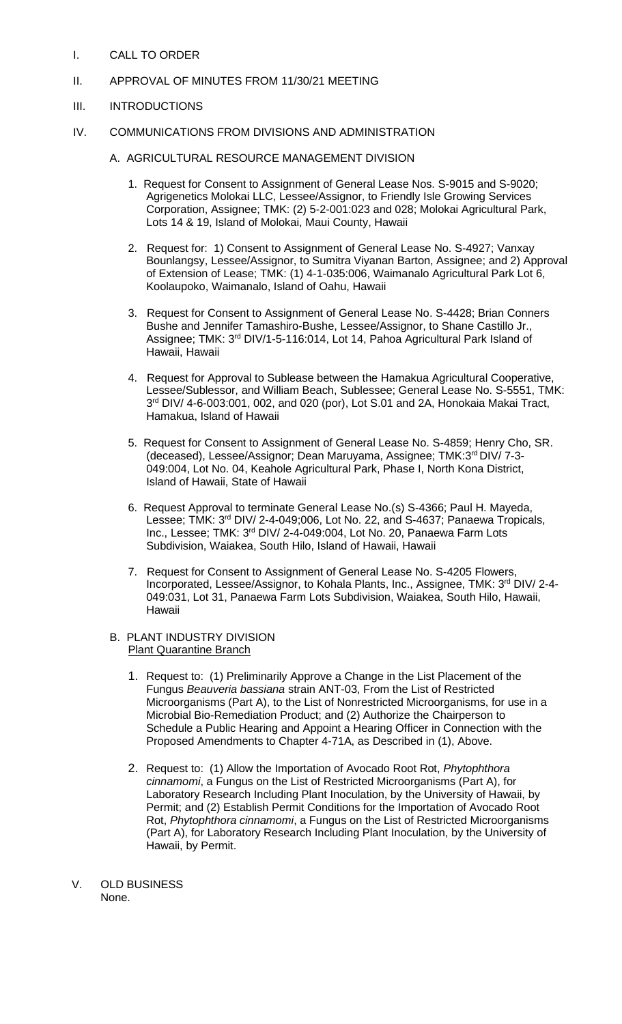- I. CALL TO ORDER
- II. APPROVAL OF MINUTES FROM 11/30/21 MEETING

## III. INTRODUCTIONS

- IV. COMMUNICATIONS FROM DIVISIONS AND ADMINISTRATION
	- A. AGRICULTURAL RESOURCE MANAGEMENT DIVISION
		- 1. Request for Consent to Assignment of General Lease Nos. S-9015 and S-9020; Agrigenetics Molokai LLC, Lessee/Assignor, to Friendly Isle Growing Services Corporation, Assignee; TMK: (2) 5-2-001:023 and 028; Molokai Agricultural Park, Lots 14 & 19, Island of Molokai, Maui County, Hawaii
		- 2. Request for: 1) Consent to Assignment of General Lease No. S-4927; Vanxay Bounlangsy, Lessee/Assignor, to Sumitra Viyanan Barton, Assignee; and 2) Approval of Extension of Lease; TMK: (1) 4-1-035:006, Waimanalo Agricultural Park Lot 6, Koolaupoko, Waimanalo, Island of Oahu, Hawaii
		- 3. Request for Consent to Assignment of General Lease No. S-4428; Brian Conners Bushe and Jennifer Tamashiro-Bushe, Lessee/Assignor, to Shane Castillo Jr., Assignee; TMK: 3rd DIV/1-5-116:014, Lot 14, Pahoa Agricultural Park Island of Hawaii, Hawaii
		- 4. Request for Approval to Sublease between the Hamakua Agricultural Cooperative, Lessee/Sublessor, and William Beach, Sublessee; General Lease No. S-5551, TMK: 3<sup>rd</sup> DIV/ 4-6-003:001, 002, and 020 (por), Lot S.01 and 2A, Honokaia Makai Tract, Hamakua, Island of Hawaii
		- 5. Request for Consent to Assignment of General Lease No. S-4859; Henry Cho, SR. (deceased), Lessee/Assignor; Dean Maruyama, Assignee; TMK:3rd DIV/ 7-3- 049:004, Lot No. 04, Keahole Agricultural Park, Phase I, North Kona District, Island of Hawaii, State of Hawaii
		- 6. Request Approval to terminate General Lease No.(s) S-4366; Paul H. Mayeda, Lessee; TMK: 3rd DIV/ 2-4-049;006, Lot No. 22, and S-4637; Panaewa Tropicals, Inc., Lessee; TMK: 3<sup>rd</sup> DIV/ 2-4-049:004, Lot No. 20, Panaewa Farm Lots Subdivision, Waiakea, South Hilo, Island of Hawaii, Hawaii
		- 7. Request for Consent to Assignment of General Lease No. S-4205 Flowers, Incorporated, Lessee/Assignor, to Kohala Plants, Inc., Assignee, TMK: 3<sup>rd</sup> DIV/ 2-4-049:031, Lot 31, Panaewa Farm Lots Subdivision, Waiakea, South Hilo, Hawaii, Hawaii
	- B. PLANT INDUSTRY DIVISION Plant Quarantine Branch
		- 1. Request to: (1) Preliminarily Approve a Change in the List Placement of the Fungus *Beauveria bassiana* strain ANT-03, From the List of Restricted Microorganisms (Part A), to the List of Nonrestricted Microorganisms, for use in a Microbial Bio-Remediation Product; and (2) Authorize the Chairperson to Schedule a Public Hearing and Appoint a Hearing Officer in Connection with the Proposed Amendments to Chapter 4-71A, as Described in (1), Above.
		- 2. Request to: (1) Allow the Importation of Avocado Root Rot, *Phytophthora cinnamomi*, a Fungus on the List of Restricted Microorganisms (Part A), for Laboratory Research Including Plant Inoculation, by the University of Hawaii, by Permit; and (2) Establish Permit Conditions for the Importation of Avocado Root Rot, *Phytophthora cinnamomi*, a Fungus on the List of Restricted Microorganisms (Part A), for Laboratory Research Including Plant Inoculation, by the University of Hawaii, by Permit.
- V. OLD BUSINESS None.